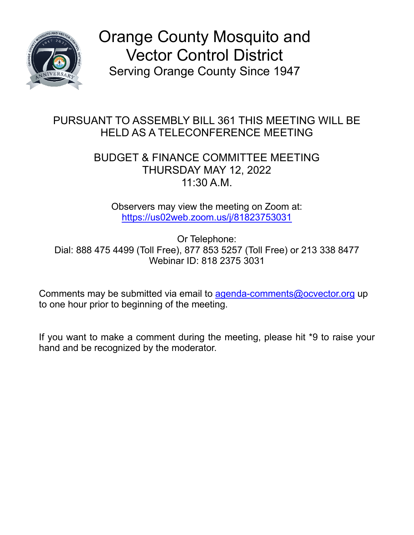

Orange County Mosquito and Vector Control District Serving Orange County Since 1947

## PURSUANT TO ASSEMBLY BILL 361 THIS MEETING WILL BE HELD AS A TELECONFERENCE MEETING

## BUDGET & FINANCE COMMITTEE MEETING THURSDAY MAY 12, 2022 11:30 A.M.

Observers may view the meeting on Zoom at: [https://us02web.zoom.us/j/81823753031](https://gcc02.safelinks.protection.outlook.com/?url=https%3A%2F%2Fus02web.zoom.us%2Fj%2F81823753031&data=04%7C01%7CTPett%40ocvector.org%7C04c0005f96a244c8b82108da1ccf5995%7Ccb3de05604a54a47bd3e25834a7e4386%7C1%7C0%7C637853974128914438%7CUnknown%7CTWFpbGZsb3d8eyJWIjoiMC4wLjAwMDAiLCJQIjoiV2luMzIiLCJBTiI6Ik1haWwiLCJXVCI6Mn0%3D%7C3000&sdata=gLDBqHxz%2F6TKSb33rASql7rfxShTZmNpsuYHeR0LIzc%3D&reserved=0)

Or Telephone: Dial: 888 475 4499 (Toll Free), 877 853 5257 (Toll Free) or 213 338 8477 Webinar ID: 818 2375 3031

Comments may be submitted via email to [agenda-comments@ocvector.org](mailto:agenda-comments@ocvector.org) up to one hour prior to beginning of the meeting.

If you want to make a comment during the meeting, please hit \*9 to raise your hand and be recognized by the moderator.